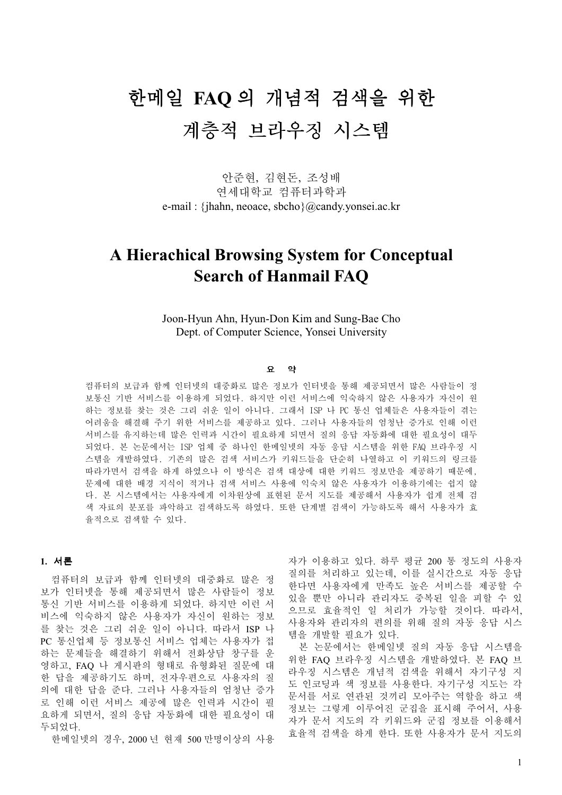# 한메일 FAQ 의 개념적 검색을 위한 계층적 브라우징 시스템

안준현, 김현돈, 조성배 여세대학교 컴퓨터과학과 e-mail : {jhahn, neoace, sbcho}@candy.yonsei.ac.kr

# **A Hierachical Browsing System for Conceptual Search of Hanmail FAQ**

Joon-Hyun Ahn, Hyun-Don Kim and Sung-Bae Cho Dept. of Computer Science, Yonsei University

# 歜 橅

컴퓨터의 보급과 함께 인터넷의 대중화로 많은 정보가 인터넷을 통해 제공되면서 많은 사람들이 정 보통신 기반 서비스를 이용하게 되었다. 하지만 이런 서비스에 익숙하지 않은 사용자가 자신이 원 하는 정보를 찾는 것은 그리 쉬운 일이 아니다. 그래서 ISP 나 PC 통신 업체들은 사용자들이 겪는 어려움을 해결해 주기 위한 서비스를 제공하고 있다. 그러나 사용자들의 엄청난 증가로 인해 이런 서비스를 유지하는데 많은 인력과 시간이 필요하게 되면서 질의 응답 자동화에 대한 필요성이 대두 되었다. 본 논문에서는 ISP 업체 중 하나인 한메일넷의 자동 응답 시스템을 위한 FAQ 브라우징 시 스템을 개발하였다. 기존의 많은 검색 서비스가 키워드들을 단순히 나열하고 이 키워드의 링크를 따라가면서 검색을 하게 하였으나 이 방식은 검색 대상에 대한 키워드 정보만을 제공하기 때문에. 문제에 대한 배경 지식이 적거나 검색 서비스 사용에 익숙치 않은 사용자가 이용하기에는 쉽지 않 다. 본 시스템에서는 사용자에게 이차원상에 표현된 문서 지도를 제공해서 사용자가 쉽게 전체 검 색 자료의 분포를 파악하고 검색하도록 하였다. 또한 단계별 검색이 가능하도록 해서 사용자가 효 율적으로 검색할 수 있다.

# 1. 서론

컴퓨터의 보급과 함께 인터넷의 대중화로 많은 정 보가 인터넷을 통해 제공되면서 많은 사람들이 정보 통신 기반 서비스를 이용하게 되었다. 하지만 이런 서 비스에 익숙하지 않은 사용자가 자신이 원하는 정보 를 찾는 것은 그리 쉬운 일이 아니다. 따라서 ISP 나 PC 통신업체 등 정보통신 서비스 업체는 사용자가 접 하는 문제들을 해결하기 위해서 전화상담 창구를 운 영하고, FAQ 나 게시판의 형태로 유형화된 질문에 대 한 답을 제공하기도 하며, 전자우편으로 사용자의 질 의에 대한 답을 준다. 그러나 사용자들의 엄청난 증가 로 인해 이런 서비스 제공에 많은 인력과 시간이 필 요하게 되면서, 질의 응답 자동화에 대한 필요성이 대 두되었다.

한메일넷의 경우, 2000 년 현재 500 만명이상의 사용

자가 이용하고 있다. 하루 평균 200 통 정도의 사용자 질의를 처리하고 있는데, 이를 실시간으로 자동 응답 한다면 사용자에게 만족도 높은 서비스를 제공할 수 있을 뿐만 아니라 관리자도 중복된 일을 피할 수 있 으므로 효율적인 일 처리가 가능할 것이다. 따라서, 사용자와 관리자의 편의를 위해 질의 자동 응답 시스 템을 개발할 필요가 있다.

본 논문에서는 한메일넷 질의 자동 응답 시스템을 위한 FAO 브라우징 시스템을 개발하였다. 본 FAO 브 라우징 시스템은 개념적 검색을 위해서 자기구성 지 도 인코딩과 색 정보를 사용한다. 자기구성 지도는 각 문서를 서로 연관된 것끼리 모아주는 역할을 하고 색 정보는 그렇게 이루어진 군집을 표시해 주어서, 사용 자가 문서 지도의 각 키워드와 군집 정보를 이용해서 효율적 검색을 하게 한다. 또한 사용자가 문서 지도의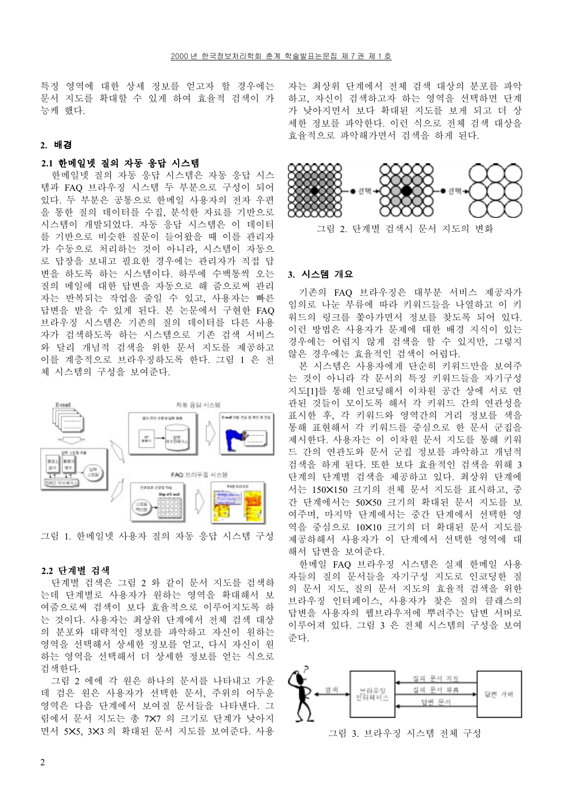특정 영역에 대한 상세 정보를 얻고자 할 경우에는 문서 지도를 확대할 수 있게 하여 효율적 검색이 가 능케 했다.

#### **2.** 惸内

# 2.1 한메일넷 질의 자동 응답 시스템

한메일넷 질의 자동 응답 시스템은 자동 응답 시스 템과 FAO 브라우징 시스템 두 부분으로 구성이 되어 있다. 두 부분은 공통으로 한메일 사용자의 전자 우편 을 통한 질의 데이터를 수집, 분석한 자료를 기반으로 시스템이 개발되었다. 자동 응답 시스템은 이 데이터 를 기반으로 비슷한 질문이 들어왔을 때 이를 관리자 가 수통으로 처리하는 것이 아니라, 시스템이 자동으 로 답장을 보내고 필요한 경우에는 관리자가 직접 답 변을 하도록 하는 시스템이다. 하루에 수백통씩 오는 질의 메일에 대한 답변을 자동으로 해 줌으로써 관리 자는 반복되는 작업을 줄일 수 있고, 사용자는 빠른 답변을 받을 수 있게 된다. 본 논문에서 구현한 FAQ 브라우징 시스템은 기존의 질의 데이터를 다른 사용 자가 검색하도록 하는 시스템으로 기존 검색 서비스 와 달리 개념적 검색을 위한 문서 지도를 제공하고 이를 계층적으로 브라우징하도록 한다. 그림 1 은 전 체 시스템의 구성을 보여주다.



그림 1. 한메일넷 사용자 질의 자동 응답 시스템 구성

#### 2.2 단계별 검색

단계별 검색은 그림 2 와 같이 문서 지도를 검색하 는데 단계별로 사용자가 워하는 영역을 확대해서 보 여줌으로써 검색이 보다 효율적으로 이루어지도록 하 는 것이다. 사용자는 최상위 단계에서 전체 검색 대상 의 분포와 대략적인 정보를 파악하고 자신이 원하는 영역을 선택해서 상세한 정보를 얻고, 다시 자신이 워 하는 영역을 선택해서 더 상세한 정보를 얻는 식으로 검색한다.

그림 2 에에 각 워은 하나의 무서를 나타내고 가우 데 검은 워은 사용자가 선택한 문서, 주위의 어두운 영역은 다음 단계에서 보여질 문서들을 나타낸다. 그 림에서 문서 지도는 총 7X7 의 크기로 단계가 낮아지 면서 5X5, 3X3 의 확대된 문서 지도를 보여준다. 사용 자는 최상위 단계에서 전체 검색 대상의 분포를 파악 하고, 자신이 검색하고자 하는 영역을 선택하면 단계 가 낮아지면서 보다 확대된 지도를 보게 되고 더 상 세한 정보를 파악한다. 이런 식으로 전체 검색 대상을 효율적으로 파악해가면서 검색을 하게 된다.



# **3.** 枤杬瘤 僤歜

기존의 FAQ 브라우징은 대부분 서비스 제공자가 임의로 나눈 부류에 따라 키워드들을 나열하고 이 키 워드의 링크를 쫓아가면서 정보를 찾도록 되어 있다. 이런 방법은 사용자가 문제에 대한 배경 지식이 있는 경우에는 어렵지 않게 검색을 할 수 있지만, 그렇지 않은 경우에는 효율적인 검색이 어렵다.

본 시스템은 사용자에게 단수히 키워드만을 보여주 는 것이 아니라 각 문서의 특징 키워드들을 자기구성 지도[1]를 통해 인코딩해서 이차원 공간 상에 서로 연 관된 것들이 모이도록 해서 각 키워드 간의 연관성을 표시한 후, 각 키워드와 영역간의 거리 정보를 색을 통해 표현해서 각 키워드를 중심으로 한 문서 군집을 제시한다. 사용자는 이 이차워 문서 지도를 통해 키워 드 간의 연관도와 문서 군집 정보를 파악하고 개념적 검색을 하게 된다. 또한 보다 효율적인 검색을 위해 3 단계의 단계별 검색을 제공하고 있다. 최상위 단계에 서는 150×150 크기의 전체 문서 지도를 표시하고, 중 간 단계에서는 50×50 크기의 확대된 문서 지도를 보 여주며, 마지막 단계에서는 중간 단계에서 선택한 영 역을 중심으로 10×10 크기의 더 확대된 문서 지도를 제공하해서 사용자가 이 단계에서 선택한 영역에 대 해서 답변을 보여주다.

한메일 FAO 브라우징 시스템은 실제 한메일 사용 자들의 질의 문서들을 자기구성 지도로 인코딩한 질 의 문서 지도, 질의 문서 지도의 효율적 검색을 위한 브라우징 인터페이스, 사용자가 찾은 질의 클래스의 답변을 사용자의 웹브라우저에 뿌려주는 답변 서버로 이루어져 있다. 그림 3 은 전체 시스템의 구성을 보여 주다.



그림 3. 브라우징 시스템 전체 구성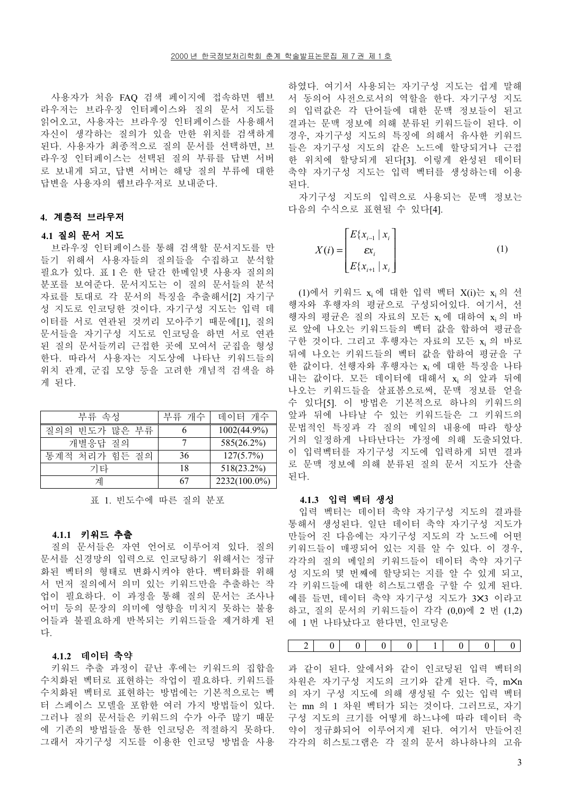사용자가 처음 FAO 검색 페이지에 접속하면 웹브 라우저는 브라우징 인터페이스와 질의 문서 지도를 읽어오고, 사용자는 브라우징 인터페이스를 사용해서 자신이 생각하는 질의가 있을 만한 위치를 검색하게 된다. 사용자가 최종적으로 질의 문서를 선택하면, 브 라우징 인터페이스는 선택된 질의 부류를 답변 서버 로 보내게 되고, 답변 서버는 해당 질의 부류에 대한 답변을 사용자의 웹브라우저로 보내준다.

# 4. 계층적 브라우저

# 4.1 질의 문서 지도

브라우징 인터페이스를 통해 검색할 문서지도를 만 들기 위해서 사용자들의 질의들을 수집하고 분석할 필요가 있다. 표 1 은 한 달간 한메일넷 사용자 질의의 분포를 보여준다. 문서지도는 이 질의 문서들의 분석 자료를 토대로 각 문서의 특징을 추출해서[2] 자기구 성 지도로 인코딩한 것이다. 자기구성 지도는 입력 데 이터를 서로 연관된 것끼리 모아주기 때문에[1], 질의 문서들을 자기구성 지도로 인코딩을 하면 서로 여관 된 질의 문서들끼리 근접한 곳에 모여서 군집을 형성 한다. 따라서 사용자는 지도상에 나타난 키워드들의 위치 관계, 군집 모양 등을 고려한 개념적 검색을 하 게 된다.

| 부류 속성            | 부류 개수 | 데이터 개수         |
|------------------|-------|----------------|
| 빈도가 많은 부류<br>질의의 |       | $1002(44.9\%)$ |
| 개별응답 질의          |       | 585(26.2%)     |
| 통계적 처리가 힘든 질의    | 36    | $127(5.7\%)$   |
| 기타               | 18    | $518(23.2\%)$  |
| 게                |       | 2232(100.0%)   |

표 1. 빈도수에 따른 질의 분포

# 4.1.1 키워드 추출

질의 문서들은 자연 언어로 이루어져 있다. 질의 문서를 신경망의 입력으로 인코딩하기 위해서는 정규 화된 벡터의 형태로 변화시켜야 한다. 벡터화를 위해 서 먼저 질의에서 의미 있는 키워드만을 추출하는 작 업이 필요하다. 이 과정을 통해 질의 문서는 조사나 어미 등의 문장의 의미에 영향을 미치지 못하는 불용 어들과 불필요하게 반복되는 키워드들을 제거하게 된 다.

# 4.1.2 데이터 축약

키워드 추출 과정이 끝난 후에는 키워드의 집합을 수치화된 벡터로 표현하는 작업이 필요하다. 키워드를 수치화된 벡터로 표현하는 방법에는 기본적으로는 벡 터 스페이스 모델을 포함한 여러 가지 방법들이 있다. 그러나 질의 문서들은 키워드의 수가 아주 많기 때문 에 기존의 방법들을 통한 인코딩은 적절하지 못하다. 그래서 자기구성 지도를 이용한 인코딩 방법을 사용

하였다. 여기서 사용되는 자기구성 지도는 쉽게 말해 서 동의어 사전으로서의 역할을 한다. 자기구성 지도 의 입력값은 각 단어들에 대한 문맥 정보들이 된고 결과는 문맥 정보에 의해 분류된 키워드들이 된다. 이 경우, 자기구성 지도의 특징에 의해서 유사한 키워드 들은 자기구성 지도의 같은 노드에 할당되거나 근접 한 위치에 할당되게 된다[3]. 이렇게 완성된 데이터 축약 자기구성 지도는 입력 벡터를 생성하는데 이용 된다.

자기구성 지도의 입력으로 사용되는 문맥 정보는 다음의 수식으로 표현될 수 있다[4].

$$
X(i) = \begin{bmatrix} E\{x_{i-1} \mid x_i \\ \varepsilon x_i \\ E\{x_{i+1} \mid x_i \end{bmatrix}
$$
 (1)

(1)에서 키워드 x<sub>i</sub> 에 대한 입력 벡터 X(i)는 x<sub>i</sub> 의 선 행자와 후행자의 평균으로 구성되어있다. 여기서, 선 행자의 평균은 질의 자료의 모든 xi 에 대하여 xi 의 바 로 앞에 나오는 키워드들의 벡터 값을 합하여 평균을 구한 것이다. 그리고 후행자는 자료의 모든 xi 의 바로 뒤에 나오는 키워드들의 벡터 값을 합하여 평균을 구 한 값이다. 선행자와 후행자는 xi 에 대한 특징을 나타 내는 값이다. 모든 데이터에 대해서 xi 의 앞과 뒤에 나오는 키워드들을 살표봄으로써, 문맥 정보를 얻을 수 있다[5]. 이 방법은 기본적으로 하나의 키워드의 앞과 뒤에 나타날 수 있는 키워드들은 그 키워드의 문법적인 특징과 각 질의 메일의 내용에 따라 항상 거의 일정하게 나타난다는 가정에 의해 도출되었다. 이 입력벡터를 자기구성 지도에 입력하게 되면 결과 로 문맥 정보에 의해 분류된 질의 문서 지도가 산출 된다.

#### 4.1.3 입력 벡터 생성

입력 벡터는 데이터 축약 자기구성 지도의 결과를 통해서 생성된다. 일단 데이터 축약 자기구성 지도가 만들어 진 다음에는 자기구성 지도의 각 노드에 어떤 키워드들이 매핑되어 있는 지를 알 수 있다. 이 경우, 각각의 질의 메일의 키워드들이 데이터 축약 자기구 성 지도의 몇 번째에 할당되는 지를 알 수 있게 되고, 각 키워드들에 대한 히스토그램을 구할 수 있게 된다. 예를 들면, 데이터 축약 자기구성 지도가 3X3 이라고 하고, 질의 문서의 키워드들이 각각 (0,0)에 2 번 (1.2) 에 1 번 나타났다고 한다면, 인코딩은

과 같이 된다. 앞에서와 같이 인코딩된 입력 벡터의 차워은 자기구성 지도의 크기와 같게 된다. 즉, mXn 의 자기 구성 지도에 의해 생성될 수 있는 입력 벡터 는 mn 의 1 차원 벡터가 되는 것이다. 그러므로, 자기 구성 지도의 크기를 어떻게 하느냐에 따라 데이터 축 약이 정규화되어 이루어지게 된다. 여기서 만들어진 각각의 히스토그램은 각 질의 문서 하나하나의 고유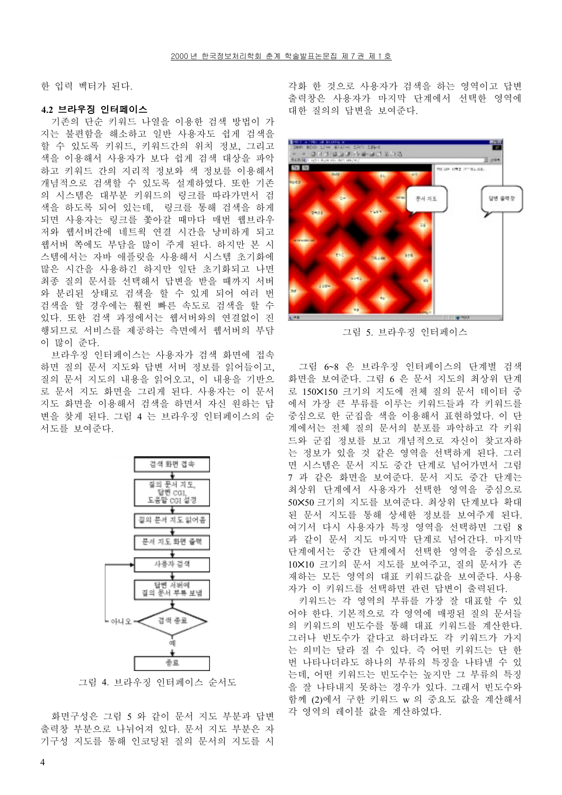한 입력 벡터가 된다.

# 4.2 브라우징 인터페이스

기존의 단순 키워드 나열을 이용한 검색 방법이 가 지는 불편함을 해소하고 일반 사용자도 쉽게 검색을 할 수 있도록 키워드, 키워드간의 위치 정보, 그리고 색을 이용해서 사용자가 보다 쉽게 검색 대상을 파악 하고 키워드 간의 지리적 정보와 색 정보를 이용해서 개념적으로 검색할 수 있도록 설계하였다. 또한 기존 의 시스템은 대부분 키워드의 링크를 따라가면서 검 색을 하도록 되어 있는데, 링크를 통해 검색을 하게 되면 사용자는 링크를 쫓아갈 때마다 매번 웹브라우 저와 웹서버간에 네트웍 연결 시간을 낭비하게 되고 웹서버 쪽에도 부담을 많이 주게 된다. 하지만 본 시 스템에서는 자바 애플릿을 사용해서 시스템 초기화에 많은 시간을 사용하긴 하지만 일단 초기화되고 나면 최종 질의 문서를 선택해서 답변을 받을 때까지 서버 와 분리된 상태로 검색을 할 수 있게 되어 여러 번 검색을 할 경우에는 훨씬 빠른 속도로 검색을 할 수 있다. 또한 검색 과정에서는 웹서버와의 연결없이 진 행되므로 서비스를 제공하는 측면에서 웹서버의 부담 이 많이 주다.

브라우징 인터페이스는 사용자가 검색 화면에 접속 하면 질의 문서 지도와 답변 서버 정보를 읽어들이고, 질의 문서 지도의 내용을 읽어오고, 이 내용을 기반으 로 문서 지도 화면을 그리게 된다. 사용자는 이 문서 지도 화면을 이용해서 검색을 하면서 자신 원하는 답 변을 찾게 된다. 그림 4 는 브라우징 인터페이스의 순 서도를 보여주다.



그림 4. 브라우징 인터페이스 순서도

화면구성은 그림 5 와 같이 문서 지도 부분과 답변 출력창 부분으로 나뉘어져 있다. 문서 지도 부분은 자 기구성 지도를 통해 인코딩된 질의 문서의 지도를 시

각화 한 것으로 사용자가 검색을 하는 영역이고 답변 출력창은 사용자가 마지막 단계에서 선택한 영역에 대한 질의의 답변을 보여주다.



그림 5. 브라우징 인터페이스

그림 6~8 은 브라우징 인터페이스의 단계별 검색 화면을 보여주다. 그림 6 은 문서 지도의 최상위 단계 로 150×150 크기의 지도에 전체 질의 문서 데이터 중 에서 가장 큰 부류를 이루는 키워드들과 각 키워드를 중심으로 한 군집을 색을 이용해서 표현하였다. 이 단 계에서는 전체 질의 문서의 분포를 파악하고 각 키워 드와 군집 정보를 보고 개념적으로 자신이 찾고자하 는 정보가 있을 것 같은 영역을 선택하게 된다. 그러 면 시스템은 문서 지도 중간 단계로 넘어가면서 그림 7 과 같은 화면을 보여준다. 문서 지도 중간 단계는 최상위 단계에서 사용자가 선택한 영역을 중심으로 50X50 크기의 지도를 보여주다. 최상위 단계보다 확대 된 문서 지도를 통해 상세한 정보를 보여주게 된다. 여기서 다시 사용자가 특정 영역을 선택하면 그림 8 과 같이 문서 지도 마지막 단계로 넘어간다. 마지막 단계에서는 중간 단계에서 선택한 영역을 중심으로 10×10 크기의 문서 지도를 보여주고, 질의 문서가 존 재하는 모든 영역의 대표 키워드값을 보여주다. 사용 자가 이 키워드를 선택하면 관련 답변이 출력된다.

키워드는 각 영역의 부류를 가장 잘 대표할 수 있 어야 한다. 기본적으로 각 영역에 매핑된 질의 문서들 의 키워드의 빈도수를 통해 대표 키워드를 계산한다. 그러나 빈도수가 같다고 하더라도 각 키워드가 가지 는 의미는 달라 질 수 있다. 즉 어떤 키워드는 단 한 번 나타나더라도 하나의 부류의 특징을 나타낼 수 있 는데, 어떤 키워드는 빈도수는 높지만 그 부류의 특징 을 잘 나타내지 못하는 경우가 있다. 그래서 빈도수와 함께 (2)에서 구한 키워드 w 의 중요도 값을 계산해서 각 영역의 레이블 값을 계산하였다.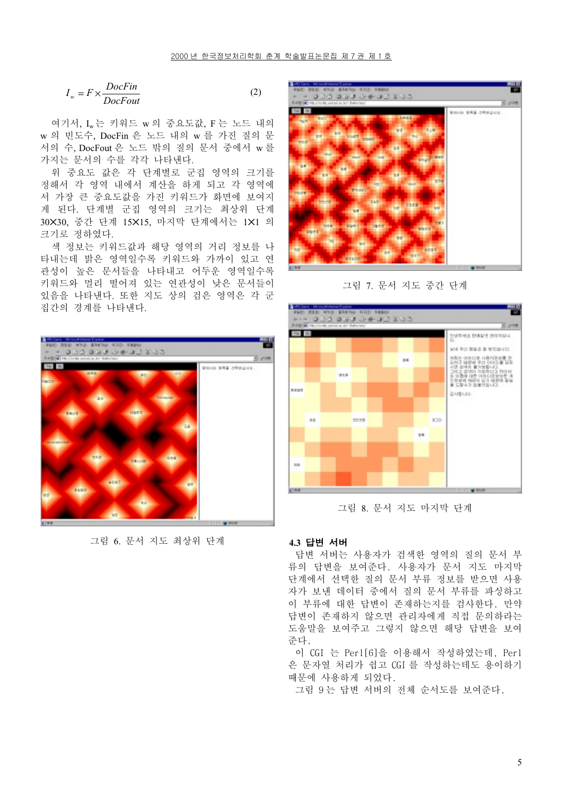$$
I_w = F \times \frac{DocFin}{DocFour}
$$
 (2)

여기서, Iw는 키워드 w 의 중요도값, F 는 노드 내의 w 의 빈도수, DocFin 은 노드 내의 w 를 가진 질의 문 서의 수, DocFout 은 노드 밖의 질의 문서 중에서 w 를 가지는 문서의 수를 각각 나타낸다.

위 중요도 값은 각 단계별로 군집 영역의 크기를 정해서 각 영역 내에서 계산을 하게 되고 각 영역에 서 가장 큰 중요도값을 가진 키워드가 화면에 보여지 게 된다. 단계별 군집 영역의 크기는 최상위 단계 30×30, 중간 단계 15×15, 마지막 단계에서는 1×1 의 크기로 정하였다.

색 정보는 키워드값과 해당 영역의 거리 정보를 나 타내는데 밝은 영역일수록 키워드와 가까이 있고 연 관성이 높은 문서들을 나타내고 어두운 영역일수록 키워드와 멀리 떨어져 있는 연관성이 낮은 문서들이 있음을 나타낸다. 또한 지도 상의 검은 영역은 각 군 집간의 경계를 나타낸다.



그림 6. 문서 지도 최상위 단계



그림 7. 문서 지도 중간 단계



그림 8. 문서 지도 마지막 단계

# 4.3 답변 서버

답변 서버는 사용자가 검색한 영역의 질의 문서 부 류의 답변을 보여준다. 사용자가 문서 지도 마지막 단계에서 선택한 질의 문서 부류 정보를 받으면 사용 자가 보낸 데이터 중에서 질의 문서 부류를 파싱하고 이 부류에 대한 답변이 존재하는지를 검사한다. 만약 답변이 존재하지 않으면 관리자에게 직접 문의하라는 도움말을 보여주고 그렇지 않으면 해당 답변을 보여 준다.

이 CGI 는 Per1[6]을 이용해서 작성하였는데, Perl 은 문자열 처리가 쉽고 CGI 를 작성하는데도 용이하기 때문에 사용하게 되었다.

그림 9 는 답변 서버의 전체 순서도를 보여준다.